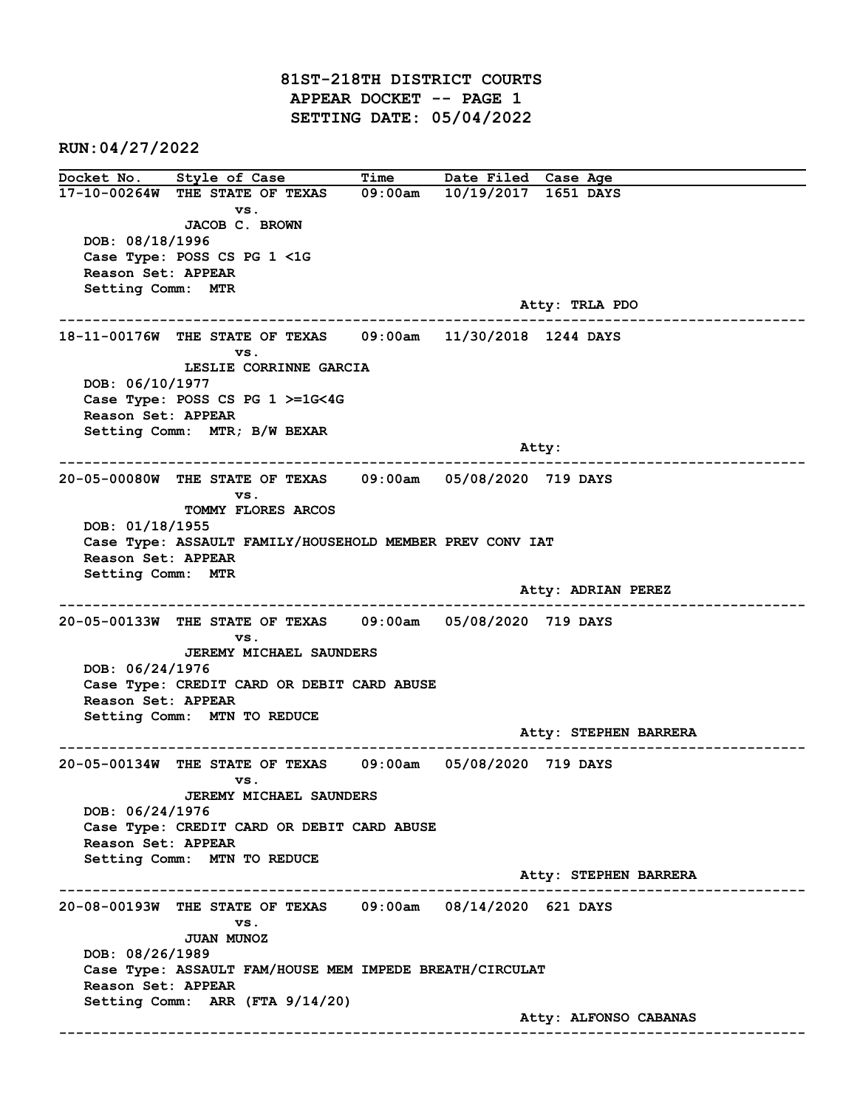81ST-218TH DISTRICT COURTS APPEAR DOCKET -- PAGE 1 SETTING DATE: 05/04/2022

RUN:04/27/2022

Docket No. Style of Case Time Date Filed Case Age 17-10-00264W THE STATE OF TEXAS 09:00am 10/19/2017 1651 DAYS vs. JACOB C. BROWN DOB: 08/18/1996 Case Type: POSS CS PG 1 <1G Reason Set: APPEAR Setting Comm: MTR Atty: TRLA PDO ------------------------------------------------------------------------------------------------------------------------ 18-11-00176W THE STATE OF TEXAS 09:00am 11/30/2018 1244 DAYS vs. LESLIE CORRINNE GARCIA DOB: 06/10/1977 Case Type: POSS CS PG 1 >=1G<4G Reason Set: APPEAR Setting Comm: MTR; B/W BEXAR and the state of the state of the state of the state of the state of the state of the state of the state of the state of the state of the state of the state of the state of the state of the state of the state of the state ------------------------------------------------------------------------------------------------------------------------ 20-05-00080W THE STATE OF TEXAS 09:00am 05/08/2020 719 DAYS vs. TOMMY FLORES ARCOS DOB: 01/18/1955 Case Type: ASSAULT FAMILY/HOUSEHOLD MEMBER PREV CONV IAT Reason Set: APPEAR Setting Comm: MTR Atty: ADRIAN PEREZ ------------------------------------------------------------------------------------------------------------------------ 20-05-00133W THE STATE OF TEXAS 09:00am 05/08/2020 719 DAYS vs. JEREMY MICHAEL SAUNDERS DOB: 06/24/1976 Case Type: CREDIT CARD OR DEBIT CARD ABUSE Reason Set: APPEAR Setting Comm: MTN TO REDUCE Atty: STEPHEN BARRERA ------------------------------------------------------------------------------------------------------------------------ 20-05-00134W THE STATE OF TEXAS 09:00am 05/08/2020 719 DAYS vs. JEREMY MICHAEL SAUNDERS DOB: 06/24/1976 Case Type: CREDIT CARD OR DEBIT CARD ABUSE Reason Set: APPEAR Setting Comm: MTN TO REDUCE Atty: STEPHEN BARRERA ------------------------------------------------------------------------------------------------------------------------ 20-08-00193W THE STATE OF TEXAS 09:00am 08/14/2020 621 DAYS vs. JUAN MUNOZ DOB: 08/26/1989 Case Type: ASSAULT FAM/HOUSE MEM IMPEDE BREATH/CIRCULAT Reason Set: APPEAR Setting Comm: ARR (FTA 9/14/20) Atty: ALFONSO CABANAS ------------------------------------------------------------------------------------------------------------------------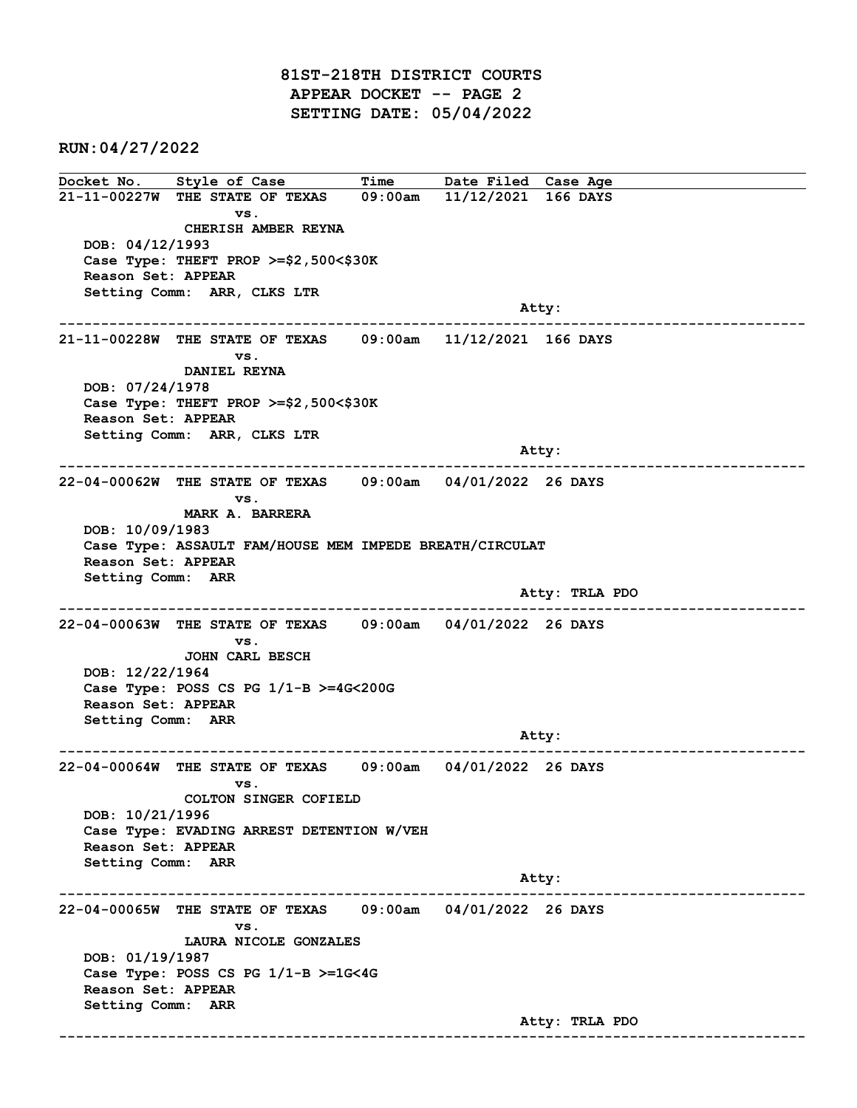81ST-218TH DISTRICT COURTS APPEAR DOCKET -- PAGE 2 SETTING DATE: 05/04/2022

RUN:04/27/2022

Docket No. Style of Case Time Date Filed Case Age 21-11-00227W THE STATE OF TEXAS 09:00am 11/12/2021 166 DAYS vs. CHERISH AMBER REYNA DOB: 04/12/1993 Case Type: THEFT PROP >=\$2,500<\$30K Reason Set: APPEAR Setting Comm: ARR, CLKS LTR and the control of the control of the control of the control of the control of the control of the control of the control of the control of the control of the control of the control of the control of the control of the cont ------------------------------------------------------------------------------------------------------------------------ 21-11-00228W THE STATE OF TEXAS 09:00am 11/12/2021 166 DAYS vs. DANIEL REYNA DOB: 07/24/1978 Case Type: THEFT PROP >=\$2,500<\$30K Reason Set: APPEAR Setting Comm: ARR, CLKS LTR and the control of the control of the control of the control of the control of the control of the control of the control of the control of the control of the control of the control of the control of the control of the cont ------------------------------------------------------------------------------------------------------------------------ 22-04-00062W THE STATE OF TEXAS 09:00am 04/01/2022 26 DAYS vs. MARK A. BARRERA DOB: 10/09/1983 Case Type: ASSAULT FAM/HOUSE MEM IMPEDE BREATH/CIRCULAT Reason Set: APPEAR Setting Comm: ARR Atty: TRLA PDO ------------------------------------------------------------------------------------------------------------------------ 22-04-00063W THE STATE OF TEXAS 09:00am 04/01/2022 26 DAYS vs. JOHN CARL BESCH DOB: 12/22/1964 Case Type: POSS CS PG 1/1-B >=4G<200G Reason Set: APPEAR Setting Comm: ARR example of the contract of the contract of the contract of the contract of the contract of the contract of the contract of the contract of the contract of the contract of the contract of the contract of the contract of the ------------------------------------------------------------------------------------------------------------------------ 22-04-00064W THE STATE OF TEXAS 09:00am 04/01/2022 26 DAYS vs. COLTON SINGER COFIELD DOB: 10/21/1996 Case Type: EVADING ARREST DETENTION W/VEH Reason Set: APPEAR Setting Comm: ARR Atty: ------------------------------------------------------------------------------------------------------------------------ 22-04-00065W THE STATE OF TEXAS 09:00am 04/01/2022 26 DAYS vs. LAURA NICOLE GONZALES DOB: 01/19/1987 Case Type: POSS CS PG 1/1-B >=1G<4G Reason Set: APPEAR Setting Comm: ARR Atty: TRLA PDO ------------------------------------------------------------------------------------------------------------------------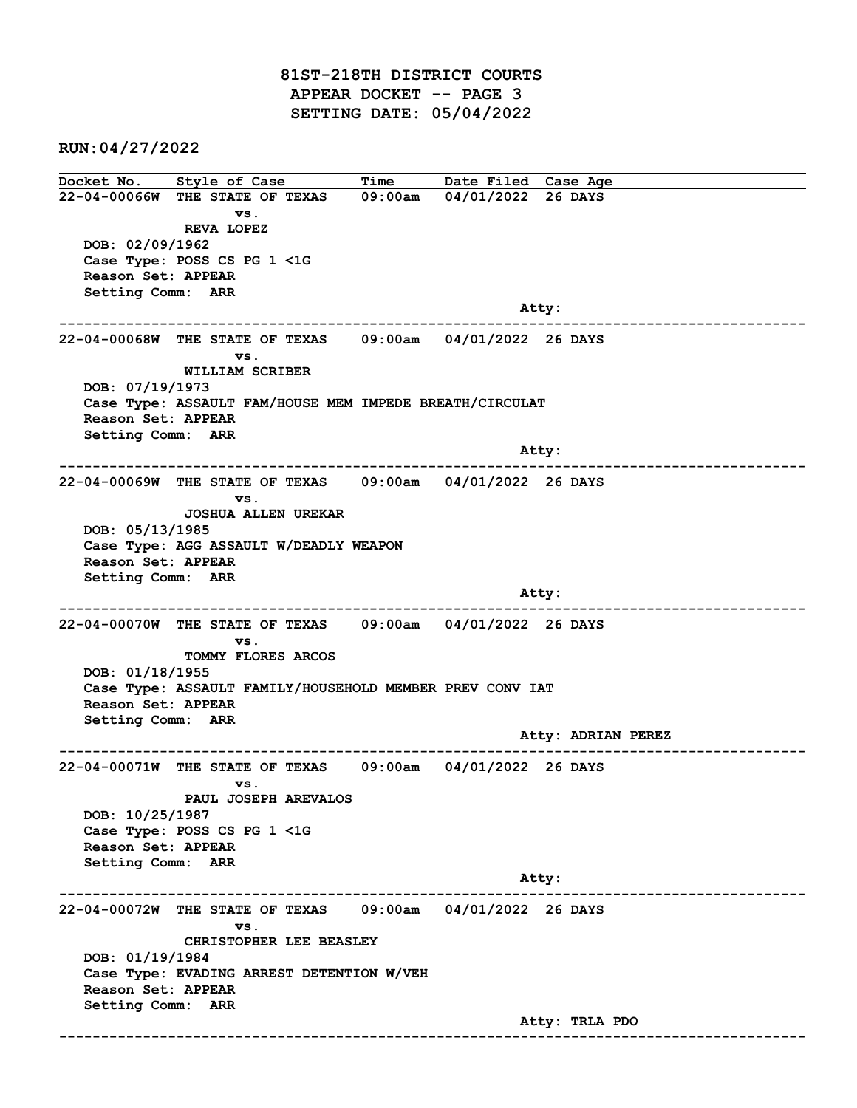81ST-218TH DISTRICT COURTS APPEAR DOCKET -- PAGE 3 SETTING DATE: 05/04/2022

RUN:04/27/2022

Docket No. Style of Case Time Date Filed Case Age 22-04-00066W THE STATE OF TEXAS 09:00am 04/01/2022 26 DAYS vs. REVA LOPEZ DOB: 02/09/1962 Case Type: POSS CS PG 1 <1G Reason Set: APPEAR Setting Comm: ARR and the control of the control of the control of the control of the control of the control of the control of the control of the control of the control of the control of the control of the control of the control of the cont ------------------------------------------------------------------------------------------------------------------------ 22-04-00068W THE STATE OF TEXAS 09:00am 04/01/2022 26 DAYS vs. WILLIAM SCRIBER DOB: 07/19/1973 Case Type: ASSAULT FAM/HOUSE MEM IMPEDE BREATH/CIRCULAT Reason Set: APPEAR Setting Comm: ARR Atty: ------------------------------------------------------------------------------------------------------------------------ 22-04-00069W THE STATE OF TEXAS 09:00am 04/01/2022 26 DAYS vs. JOSHUA ALLEN UREKAR DOB: 05/13/1985 Case Type: AGG ASSAULT W/DEADLY WEAPON Reason Set: APPEAR Setting Comm: ARR and the control of the control of the control of the control of the control of the control of the control of the control of the control of the control of the control of the control of the control of the control of the cont ------------------------------------------------------------------------------------------------------------------------ 22-04-00070W THE STATE OF TEXAS 09:00am 04/01/2022 26 DAYS vs. TOMMY FLORES ARCOS DOB: 01/18/1955 Case Type: ASSAULT FAMILY/HOUSEHOLD MEMBER PREV CONV IAT Reason Set: APPEAR Setting Comm: ARR Atty: ADRIAN PEREZ ------------------------------------------------------------------------------------------------------------------------ 22-04-00071W THE STATE OF TEXAS 09:00am 04/01/2022 26 DAYS vs. PAUL JOSEPH AREVALOS DOB: 10/25/1987 Case Type: POSS CS PG 1 <1G Reason Set: APPEAR Setting Comm: ARR Atty: ------------------------------------------------------------------------------------------------------------------------ 22-04-00072W THE STATE OF TEXAS 09:00am 04/01/2022 26 DAYS vs. CHRISTOPHER LEE BEASLEY DOB: 01/19/1984 Case Type: EVADING ARREST DETENTION W/VEH Reason Set: APPEAR Setting Comm: ARR Atty: TRLA PDO ------------------------------------------------------------------------------------------------------------------------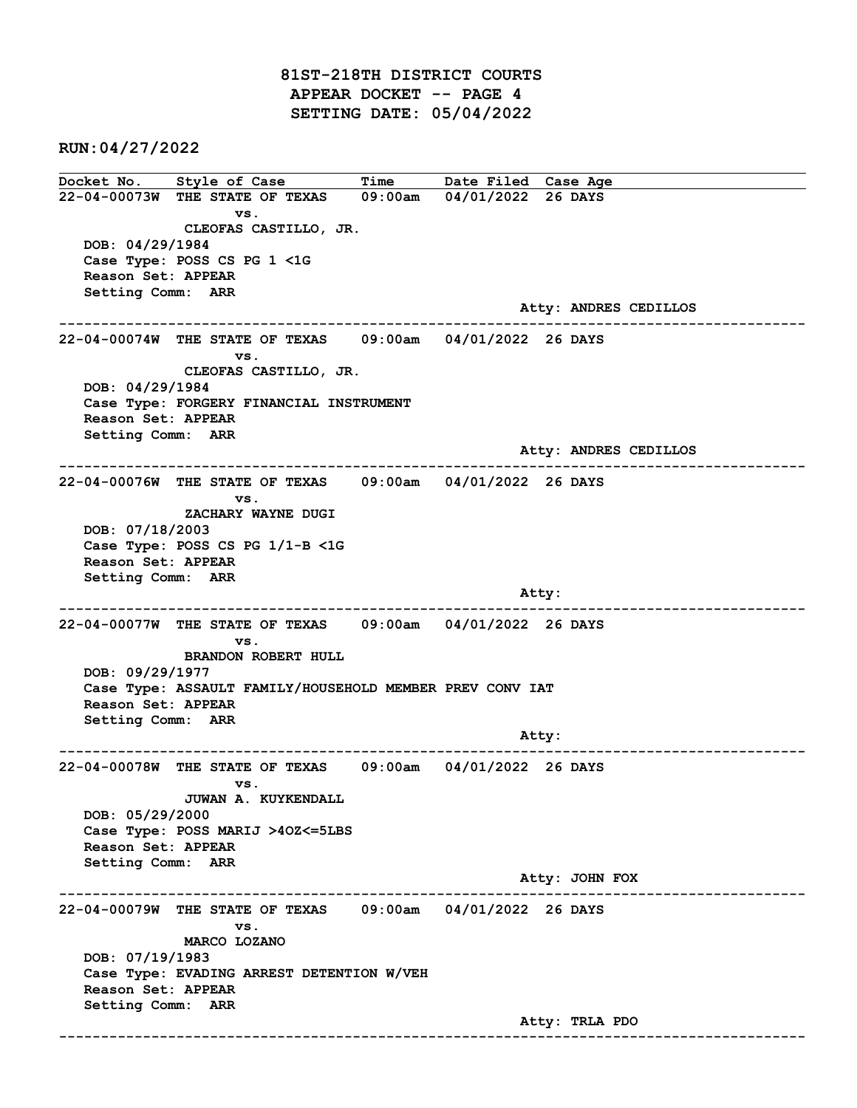81ST-218TH DISTRICT COURTS APPEAR DOCKET -- PAGE 4 SETTING DATE: 05/04/2022

RUN:04/27/2022

Docket No. Style of Case Time Date Filed Case Age 22-04-00073W THE STATE OF TEXAS 09:00am 04/01/2022 26 DAYS vs. CLEOFAS CASTILLO, JR. DOB: 04/29/1984 Case Type: POSS CS PG 1 <1G Reason Set: APPEAR Setting Comm: ARR Atty: ANDRES CEDILLOS ------------------------------------------------------------------------------------------------------------------------ 22-04-00074W THE STATE OF TEXAS 09:00am 04/01/2022 26 DAYS vs. CLEOFAS CASTILLO, JR. DOB: 04/29/1984 Case Type: FORGERY FINANCIAL INSTRUMENT Reason Set: APPEAR Setting Comm: ARR Atty: ANDRES CEDILLOS ------------------------------------------------------------------------------------------------------------------------ 22-04-00076W THE STATE OF TEXAS 09:00am 04/01/2022 26 DAYS vs. ZACHARY WAYNE DUGI DOB: 07/18/2003 Case Type: POSS CS PG 1/1-B <1G Reason Set: APPEAR Setting Comm: ARR and the control of the control of the control of the control of the control of the control of the control of the control of the control of the control of the control of the control of the control of the control of the cont ------------------------------------------------------------------------------------------------------------------------ 22-04-00077W THE STATE OF TEXAS 09:00am 04/01/2022 26 DAYS vs. BRANDON ROBERT HULL DOB: 09/29/1977 Case Type: ASSAULT FAMILY/HOUSEHOLD MEMBER PREV CONV IAT Reason Set: APPEAR Setting Comm: ARR example of the contract of the contract of the contract of the contract of the contract of the contract of the contract of the contract of the contract of the contract of the contract of the contract of the contract of the ------------------------------------------------------------------------------------------------------------------------ 22-04-00078W THE STATE OF TEXAS 09:00am 04/01/2022 26 DAYS vs. JUWAN A. KUYKENDALL DOB: 05/29/2000 Case Type: POSS MARIJ >4OZ<=5LBS Reason Set: APPEAR Setting Comm: ARR Atty: JOHN FOX ------------------------------------------------------------------------------------------------------------------------ 22-04-00079W THE STATE OF TEXAS 09:00am 04/01/2022 26 DAYS vs. MARCO LOZANO DOB: 07/19/1983 Case Type: EVADING ARREST DETENTION W/VEH Reason Set: APPEAR Setting Comm: ARR Atty: TRLA PDO ------------------------------------------------------------------------------------------------------------------------